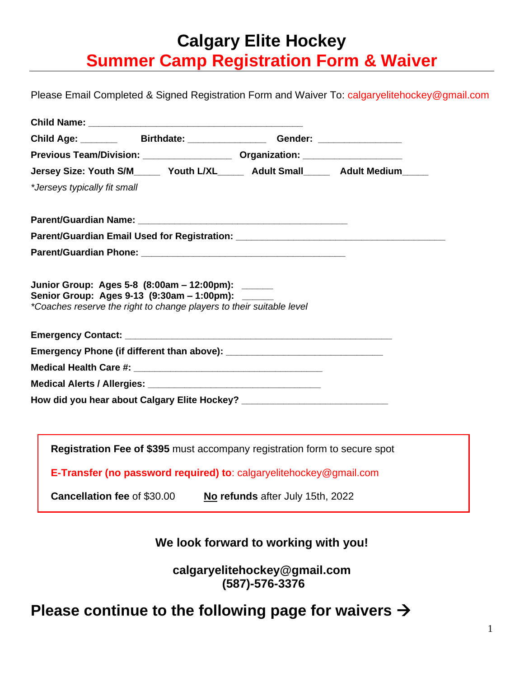# **Calgary Elite Hockey Summer Camp Registration Form & Waiver**

Please Email Completed & Signed Registration Form and Waiver To: [calgaryelitehockey@gmail.com](mailto:calgaryelitehockey@gmail.com)

|                              | Child Age: __________ Birthdate: __________________ Gender: ____________________                                          |                                  |  |
|------------------------------|---------------------------------------------------------------------------------------------------------------------------|----------------------------------|--|
|                              |                                                                                                                           |                                  |  |
|                              | Jersey Size: Youth S/M______ Youth L/XL______ Adult Small______ Adult Medium_____                                         |                                  |  |
| *Jerseys typically fit small |                                                                                                                           |                                  |  |
|                              |                                                                                                                           |                                  |  |
|                              | Parent/Guardian Email Used for Registration: ___________________________________                                          |                                  |  |
|                              |                                                                                                                           |                                  |  |
|                              | Senior Group: Ages 9-13 (9:30am - 1:00pm): ______<br>*Coaches reserve the right to change players to their suitable level |                                  |  |
|                              |                                                                                                                           |                                  |  |
|                              |                                                                                                                           |                                  |  |
|                              |                                                                                                                           |                                  |  |
|                              | How did you hear about Calgary Elite Hockey? ___________________________________                                          |                                  |  |
|                              |                                                                                                                           |                                  |  |
|                              | Registration Fee of \$395 must accompany registration form to secure spot                                                 |                                  |  |
|                              | E-Transfer (no password required) to: calgaryelitehockey@gmail.com                                                        |                                  |  |
|                              | <b>Cancellation fee of \$30.00</b>                                                                                        | No refunds after July 15th, 2022 |  |

**We look forward to working with you!**

**calgaryelitehockey@gmail.com (587)-576-3376**

## **Please continue to the following page for waivers** →